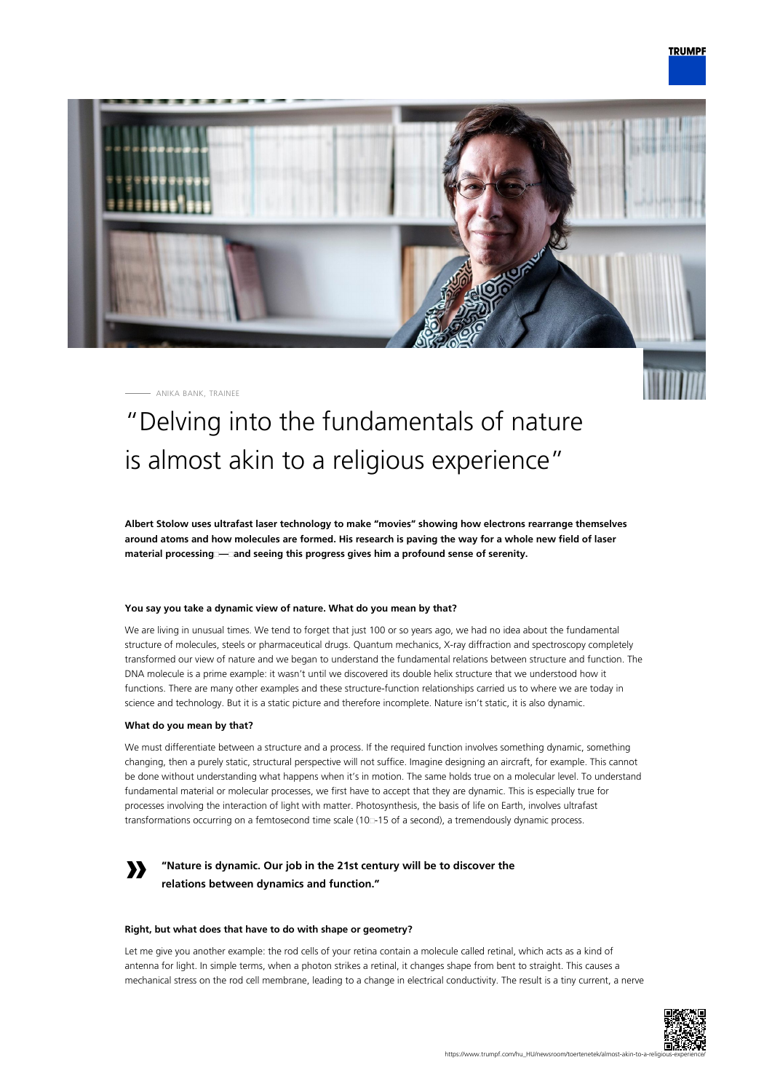

ANIKA BANK, TRAINEE



# "Delving into the fundamentals of nature is almost akin to a religious experience"

**Albert Stolow uses ultrafast laser technology to make "movies" showing how electrons rearrange themselves around atoms and how molecules are formed. His research is paving the way for a whole new field of laser material processing — and seeing this progress gives him a profound sense of serenity.**

# **You say you take a dynamic view of nature. What do you mean by that?**

We are living in unusual times. We tend to forget that just 100 or so years ago, we had no idea about the fundamental structure of molecules, steels or pharmaceutical drugs. Quantum mechanics, X-ray diffraction and spectroscopy completely transformed our view of nature and we began to understand the fundamental relations between structure and function. The DNA molecule is a prime example: it wasn't until we discovered its double helix structure that we understood how it functions. There are many other examples and these structure-function relationships carried us to where we are today in science and technology. But it is a static picture and therefore incomplete. Nature isn't static, it is also dynamic.

# **What do you mean by that?**

We must differentiate between a structure and a process. If the required function involves something dynamic, something changing, then a purely static, structural perspective will not suffice. Imagine designing an aircraft, for example. This cannot be done without understanding what happens when it's in motion. The same holds true on a molecular level. To understand fundamental material or molecular processes, we first have to accept that they are dynamic. This is especially true for processes involving the interaction of light with matter. Photosynthesis, the basis of life on Earth, involves ultrafast transformations occurring on a femtosecond time scale (10<sup>-1</sup>5 of a second), a tremendously dynamic process.

# **»**

# **"Nature is dynamic. Our job in the 21st century will be to discover the relations between dynamics and function."**

# **Right, but what does that have to do with shape or geometry?**

Let me give you another example: the rod cells of your retina contain a molecule called retinal, which acts as a kind of antenna for light. In simple terms, when a photon strikes a retinal, it changes shape from bent to straight. This causes a mechanical stress on the rod cell membrane, leading to a change in electrical conductivity. The result is a tiny current, a nerve

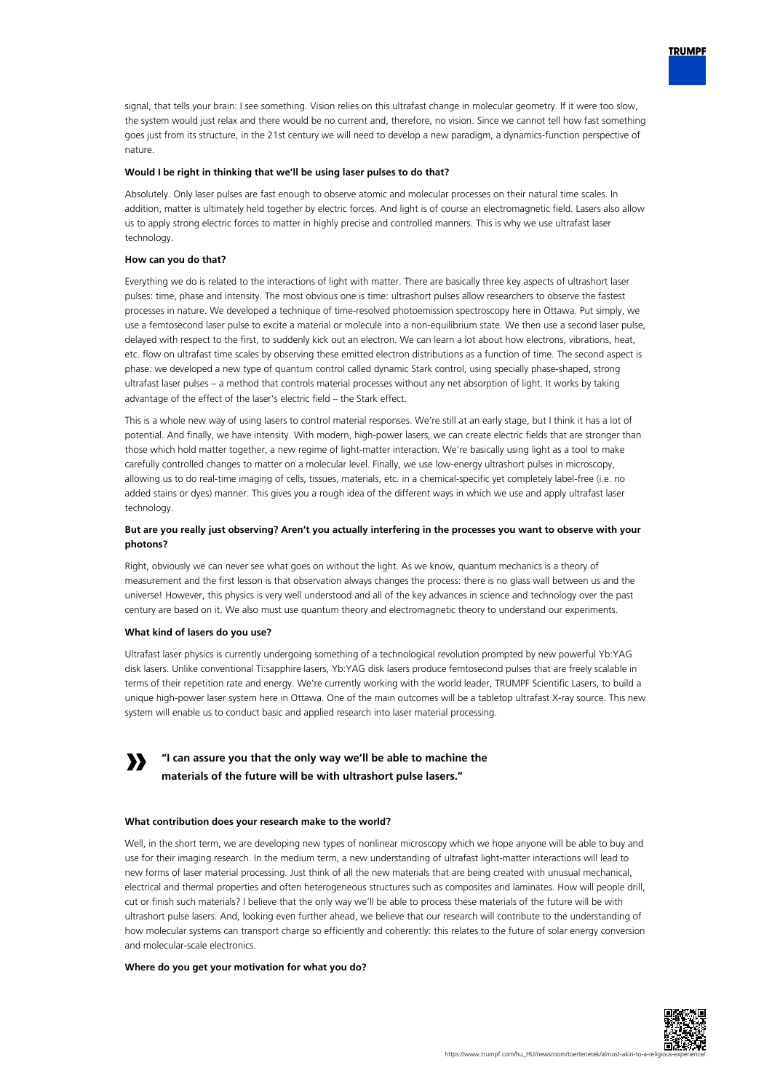

signal, that tells your brain: I see something. Vision relies on this ultrafast change in molecular geometry. If it were too slow, the system would just relax and there would be no current and, therefore, no vision. Since we cannot tell how fast something goes just from its structure, in the 21st century we will need to develop a new paradigm, a dynamics-function perspective of nature.

## **Would I be right in thinking that we'll be using laser pulses to do that?**

Absolutely. Only laser pulses are fast enough to observe atomic and molecular processes on their natural time scales. In addition, matter is ultimately held together by electric forces. And light is of course an electromagnetic field. Lasers also allow us to apply strong electric forces to matter in highly precise and controlled manners. This is why we use ultrafast laser technology.

#### **How can you do that?**

Everything we do is related to the interactions of light with matter. There are basically three key aspects of ultrashort laser pulses: time, phase and intensity. The most obvious one is time: ultrashort pulses allow researchers to observe the fastest processes in nature. We developed a technique of time-resolved photoemission spectroscopy here in Ottawa. Put simply, we use a femtosecond laser pulse to excite a material or molecule into a non-equilibrium state. We then use a second laser pulse, delayed with respect to the first, to suddenly kick out an electron. We can learn a lot about how electrons, vibrations, heat, etc. flow on ultrafast time scales by observing these emitted electron distributions as a function of time. The second aspect is phase: we developed a new type of quantum control called dynamic Stark control, using specially phase-shaped, strong ultrafast laser pulses – a method that controls material processes without any net absorption of light. It works by taking advantage of the effect of the laser's electric field – the Stark effect.

This is a whole new way of using lasers to control material responses. We're still at an early stage, but I think it has a lot of potential. And finally, we have intensity. With modern, high-power lasers, we can create electric fields that are stronger than those which hold matter together, a new regime of light-matter interaction. We're basically using light as a tool to make carefully controlled changes to matter on a molecular level. Finally, we use low-energy ultrashort pulses in microscopy, allowing us to do real-time imaging of cells, tissues, materials, etc. in a chemical-specific yet completely label-free (i.e. no added stains or dyes) manner. This gives you a rough idea of the different ways in which we use and apply ultrafast laser technology.

# **But are you really just observing? Aren't you actually interfering in the processes you want to observe with your photons?**

Right, obviously we can never see what goes on without the light. As we know, quantum mechanics is a theory of measurement and the first lesson is that observation always changes the process: there is no glass wall between us and the universe! However, this physics is very well understood and all of the key advances in science and technology over the past century are based on it. We also must use quantum theory and electromagnetic theory to understand our experiments.

### **What kind of lasers do you use?**

Ultrafast laser physics is currently undergoing something of a technological revolution prompted by new powerful Yb:YAG disk lasers. Unlike conventional Ti:sapphire lasers, Yb:YAG disk lasers produce femtosecond pulses that are freely scalable in terms of their repetition rate and energy. We're currently working with the world leader, TRUMPF Scientific Lasers, to build a unique high-power laser system here in Ottawa. One of the main outcomes will be a tabletop ultrafast X-ray source. This new system will enable us to conduct basic and applied research into laser material processing.

#### **» "I can assure you that the only way we'll be able to machine the materials of the future will be with ultrashort pulse lasers."**

#### **What contribution does your research make to the world?**

Well, in the short term, we are developing new types of nonlinear microscopy which we hope anyone will be able to buy and use for their imaging research. In the medium term, a new understanding of ultrafast light-matter interactions will lead to new forms of laser material processing. Just think of all the new materials that are being created with unusual mechanical, electrical and thermal properties and often heterogeneous structures such as composites and laminates. How will people drill, cut or finish such materials? I believe that the only way we'll be able to process these materials of the future will be with ultrashort pulse lasers. And, looking even further ahead, we believe that our research will contribute to the understanding of how molecular systems can transport charge so efficiently and coherently: this relates to the future of solar energy conversion and molecular-scale electronics.

### **Where do you get your motivation for what you do?**